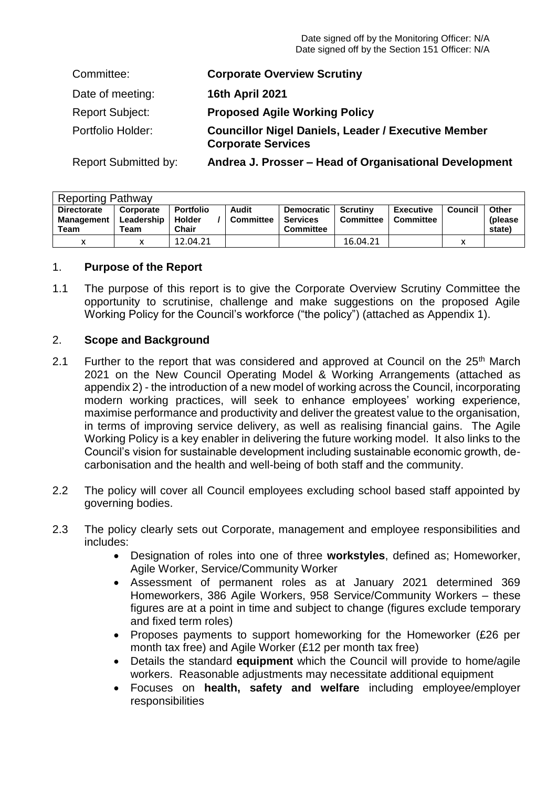Date signed off by the Monitoring Officer: N/A Date signed off by the Section 151 Officer: N/A

| Committee:                  | <b>Corporate Overview Scrutiny</b>                                                      |
|-----------------------------|-----------------------------------------------------------------------------------------|
| Date of meeting:            | <b>16th April 2021</b>                                                                  |
| <b>Report Subject:</b>      | <b>Proposed Agile Working Policy</b>                                                    |
| Portfolio Holder:           | <b>Councillor Nigel Daniels, Leader / Executive Member</b><br><b>Corporate Services</b> |
| <b>Report Submitted by:</b> | Andrea J. Prosser - Head of Organisational Development                                  |

| <b>Reporting Pathway</b>                        |                                 |                                     |                           |                                                          |                              |                               |         |                             |
|-------------------------------------------------|---------------------------------|-------------------------------------|---------------------------|----------------------------------------------------------|------------------------------|-------------------------------|---------|-----------------------------|
| <b>Directorate</b><br><b>Management</b><br>Team | Corporate<br>Leadership<br>Team | <b>Portfolio</b><br>Holder<br>Chair | Audit<br><b>Committee</b> | <b>Democratic</b><br><b>Services</b><br><b>Committee</b> | Scrutiny<br><b>Committee</b> | <b>Executive</b><br>Committee | Council | Other<br>(please)<br>state) |
|                                                 |                                 | 12.04.21                            |                           |                                                          | 16.04.21                     |                               |         |                             |

#### 1. **Purpose of the Report**

1.1 The purpose of this report is to give the Corporate Overview Scrutiny Committee the opportunity to scrutinise, challenge and make suggestions on the proposed Agile Working Policy for the Council's workforce ("the policy") (attached as Appendix 1).

# 2. **Scope and Background**

- 2.1 Further to the report that was considered and approved at Council on the 25<sup>th</sup> March 2021 on the New Council Operating Model & Working Arrangements (attached as appendix 2) - the introduction of a new model of working across the Council, incorporating modern working practices, will seek to enhance employees' working experience, maximise performance and productivity and deliver the greatest value to the organisation, in terms of improving service delivery, as well as realising financial gains. The Agile Working Policy is a key enabler in delivering the future working model. It also links to the Council's vision for sustainable development including sustainable economic growth, decarbonisation and the health and well-being of both staff and the community.
- 2.2 The policy will cover all Council employees excluding school based staff appointed by governing bodies.
- 2.3 The policy clearly sets out Corporate, management and employee responsibilities and includes:
	- Designation of roles into one of three **workstyles**, defined as; Homeworker, Agile Worker, Service/Community Worker
	- Assessment of permanent roles as at January 2021 determined 369 Homeworkers, 386 Agile Workers, 958 Service/Community Workers – these figures are at a point in time and subject to change (figures exclude temporary and fixed term roles)
	- Proposes payments to support homeworking for the Homeworker (£26 per month tax free) and Agile Worker (£12 per month tax free)
	- Details the standard **equipment** which the Council will provide to home/agile workers. Reasonable adjustments may necessitate additional equipment
	- Focuses on **health, safety and welfare** including employee/employer **responsibilities**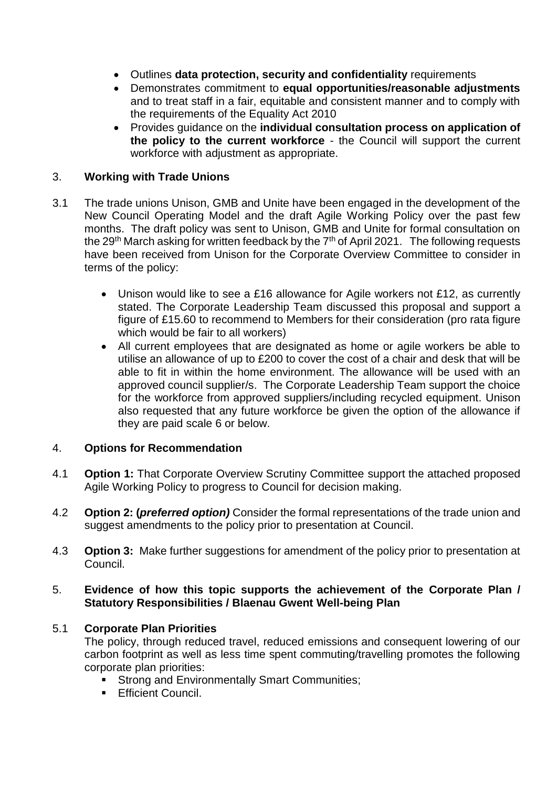- Outlines **data protection, security and confidentiality** requirements
- Demonstrates commitment to **equal opportunities/reasonable adjustments** and to treat staff in a fair, equitable and consistent manner and to comply with the requirements of the Equality Act 2010
- Provides guidance on the **individual consultation process on application of the policy to the current workforce** - the Council will support the current workforce with adjustment as appropriate.

#### 3. **Working with Trade Unions**

- 3.1 The trade unions Unison, GMB and Unite have been engaged in the development of the New Council Operating Model and the draft Agile Working Policy over the past few months. The draft policy was sent to Unison, GMB and Unite for formal consultation on the 29<sup>th</sup> March asking for written feedback by the  $7<sup>th</sup>$  of April 2021. The following requests have been received from Unison for the Corporate Overview Committee to consider in terms of the policy:
	- Unison would like to see a £16 allowance for Agile workers not £12, as currently stated. The Corporate Leadership Team discussed this proposal and support a figure of £15.60 to recommend to Members for their consideration (pro rata figure which would be fair to all workers)
	- All current employees that are designated as home or agile workers be able to utilise an allowance of up to £200 to cover the cost of a chair and desk that will be able to fit in within the home environment. The allowance will be used with an approved council supplier/s. The Corporate Leadership Team support the choice for the workforce from approved suppliers/including recycled equipment. Unison also requested that any future workforce be given the option of the allowance if they are paid scale 6 or below.

#### 4. **Options for Recommendation**

- 4.1 **Option 1:** That Corporate Overview Scrutiny Committee support the attached proposed Agile Working Policy to progress to Council for decision making.
- 4.2 **Option 2: (***preferred option)* Consider the formal representations of the trade union and suggest amendments to the policy prior to presentation at Council.
- 4.3 **Option 3:** Make further suggestions for amendment of the policy prior to presentation at Council.

#### 5. **Evidence of how this topic supports the achievement of the Corporate Plan / Statutory Responsibilities / Blaenau Gwent Well-being Plan**

#### 5.1 **Corporate Plan Priorities**

The policy, through reduced travel, reduced emissions and consequent lowering of our carbon footprint as well as less time spent commuting/travelling promotes the following corporate plan priorities:

- Strong and Environmentally Smart Communities;
- **Efficient Council.**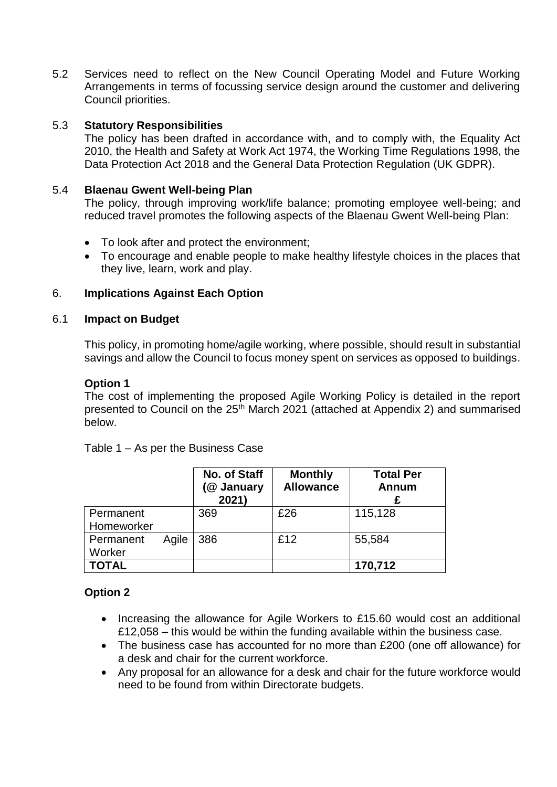5.2 Services need to reflect on the New Council Operating Model and Future Working Arrangements in terms of focussing service design around the customer and delivering Council priorities.

#### 5.3 **Statutory Responsibilities**

The policy has been drafted in accordance with, and to comply with, the Equality Act 2010, the Health and Safety at Work Act 1974, the Working Time Regulations 1998, the Data Protection Act 2018 and the General Data Protection Regulation (UK GDPR).

#### 5.4 **Blaenau Gwent Well-being Plan**

The policy, through improving work/life balance; promoting employee well-being; and reduced travel promotes the following aspects of the Blaenau Gwent Well-being Plan:

- To look after and protect the environment:
- To encourage and enable people to make healthy lifestyle choices in the places that they live, learn, work and play.

# 6. **Implications Against Each Option**

#### 6.1 **Impact on Budget**

This policy, in promoting home/agile working, where possible, should result in substantial savings and allow the Council to focus money spent on services as opposed to buildings.

#### **Option 1**

The cost of implementing the proposed Agile Working Policy is detailed in the report presented to Council on the 25<sup>th</sup> March 2021 (attached at Appendix 2) and summarised below.

|                         |       | No. of Staff<br>(@ January<br>2021) | <b>Monthly</b><br><b>Allowance</b> | <b>Total Per</b><br><b>Annum</b> |
|-------------------------|-------|-------------------------------------|------------------------------------|----------------------------------|
| Permanent<br>Homeworker |       | 369                                 | £26                                | 115,128                          |
| Permanent<br>Worker     | Agile | 386                                 | £12                                | 55,584                           |
| <b>TOTAL</b>            |       |                                     |                                    | 170,712                          |

Table 1 – As per the Business Case

# **Option 2**

- Increasing the allowance for Agile Workers to £15.60 would cost an additional £12,058 – this would be within the funding available within the business case.
- The business case has accounted for no more than £200 (one off allowance) for a desk and chair for the current workforce.
- Any proposal for an allowance for a desk and chair for the future workforce would need to be found from within Directorate budgets.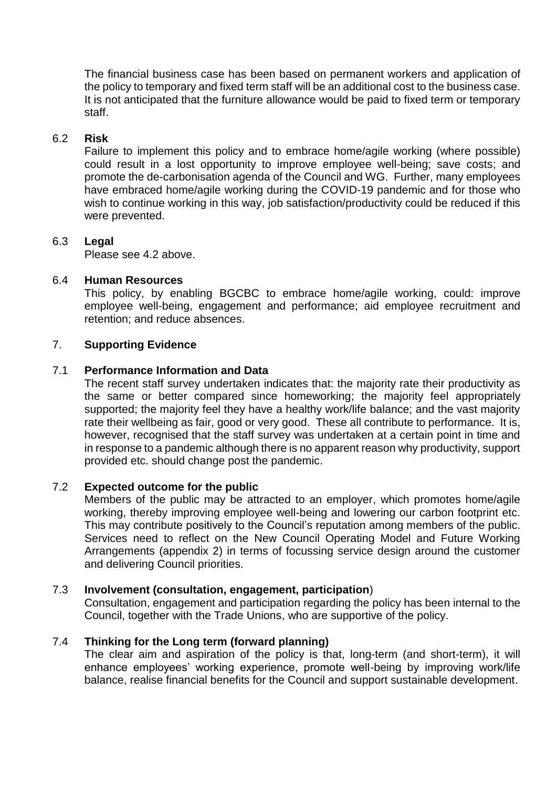The financial business case has been based on permanent workers and application of the policy to temporary and fixed term staff will be an additional cost to the business case. It is not anticipated that the furniture allowance would be paid to fixed term or temporary staff.

# 6.2 **Risk**

Failure to implement this policy and to embrace home/agile working (where possible) could result in a lost opportunity to improve employee well-being; save costs; and promote the de-carbonisation agenda of the Council and WG. Further, many employees have embraced home/agile working during the COVID-19 pandemic and for those who wish to continue working in this way, job satisfaction/productivity could be reduced if this were prevented.

# 6.3 **Legal**

Please see 4.2 above.

# 6.4 **Human Resources**

This policy, by enabling BGCBC to embrace home/agile working, could: improve employee well-being, engagement and performance; aid employee recruitment and retention; and reduce absences.

# 7. **Supporting Evidence**

# 7.1 **Performance Information and Data**

The recent staff survey undertaken indicates that: the majority rate their productivity as the same or better compared since homeworking; the majority feel appropriately supported; the majority feel they have a healthy work/life balance; and the vast majority rate their wellbeing as fair, good or very good. These all contribute to performance. It is, however, recognised that the staff survey was undertaken at a certain point in time and in response to a pandemic although there is no apparent reason why productivity, support provided etc. should change post the pandemic.

# 7.2 **Expected outcome for the public**

Members of the public may be attracted to an employer, which promotes home/agile working, thereby improving employee well-being and lowering our carbon footprint etc. This may contribute positively to the Council's reputation among members of the public. Services need to reflect on the New Council Operating Model and Future Working Arrangements (appendix 2) in terms of focussing service design around the customer and delivering Council priorities.

# 7.3 **Involvement (consultation, engagement, participation**)

Consultation, engagement and participation regarding the policy has been internal to the Council, together with the Trade Unions, who are supportive of the policy.

# 7.4 **Thinking for the Long term (forward planning)**

The clear aim and aspiration of the policy is that, long-term (and short-term), it will enhance employees' working experience, promote well-being by improving work/life balance, realise financial benefits for the Council and support sustainable development.